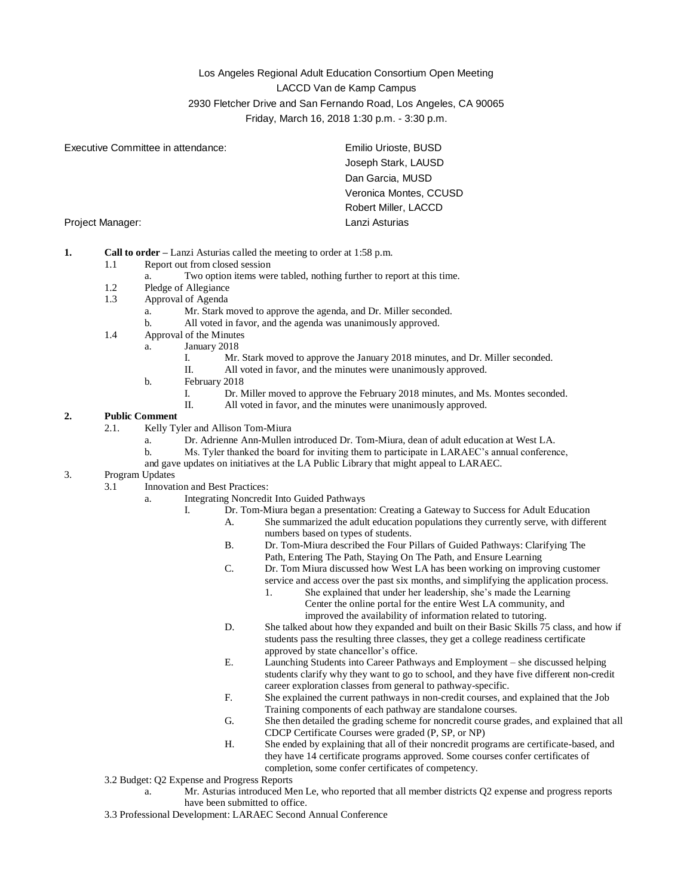# Los Angeles Regional Adult Education Consortium Open Meeting LACCD Van de Kamp Campus 2930 Fletcher Drive and San Fernando Road, Los Angeles, CA 90065 Friday, March 16, 2018 1:30 p.m. - 3:30 p.m.

| Executive Committee in attendance: | Emilio Urioste, BUSD   |
|------------------------------------|------------------------|
|                                    | Joseph Stark, LAUSD    |
|                                    | Dan Garcia, MUSD       |
|                                    | Veronica Montes, CCUSD |
|                                    | Robert Miller, LACCD   |
| Project Manager:                   | Lanzi Asturias         |

- **1. Call to order –** Lanzi Asturias called the meeting to order at 1:58 p.m.
	- 1.1 Report out from closed session
		- a. Two option items were tabled, nothing further to report at this time.
	- 1.2 Pledge of Allegiance
	- 1.3 Approval of Agenda
		- a. Mr. Stark moved to approve the agenda, and Dr. Miller seconded.
		- b. All voted in favor, and the agenda was unanimously approved.
	- 1.4 Approval of the Minutes
		- a. January 2018
			- I. Mr. Stark moved to approve the January 2018 minutes, and Dr. Miller seconded.
			- II. All voted in favor, and the minutes were unanimously approved.
			- b. February 2018
				- I. Dr. Miller moved to approve the February 2018 minutes, and Ms. Montes seconded.<br>II. All voted in favor, and the minutes were unanimously approved.
				- All voted in favor, and the minutes were unanimously approved.

# **2. Public Comment**

- 2.1. Kelly Tyler and Allison Tom-Miura
	- a. Dr. Adrienne Ann-Mullen introduced Dr. Tom-Miura, dean of adult education at West LA.
	- b. Ms. Tyler thanked the board for inviting them to participate in LARAEC's annual conference,
	- and gave updates on initiatives at the LA Public Library that might appeal to LARAEC.

# 3. Program Updates

- 3.1 Innovation and Best Practices:
	- a. Integrating Noncredit Into Guided Pathways
		- I. Dr. Tom-Miura began a presentation: Creating a Gateway to Success for Adult Education
			- A. She summarized the adult education populations they currently serve, with different numbers based on types of students.
			- B. Dr. Tom-Miura described the Four Pillars of Guided Pathways: Clarifying The Path, Entering The Path, Staying On The Path, and Ensure Learning
			- C. Dr. Tom Miura discussed how West LA has been working on improving customer service and access over the past six months, and simplifying the application process.
				- 1. She explained that under her leadership, she's made the Learning Center the online portal for the entire West LA community, and improved the availability of information related to tutoring.
			- D. She talked about how they expanded and built on their Basic Skills 75 class, and how if students pass the resulting three classes, they get a college readiness certificate approved by state chancellor's office.
			- E. Launching Students into Career Pathways and Employment she discussed helping students clarify why they want to go to school, and they have five different non-credit career exploration classes from general to pathway-specific.
			- F. She explained the current pathways in non-credit courses, and explained that the Job Training components of each pathway are standalone courses.
			- G. She then detailed the grading scheme for noncredit course grades, and explained that all CDCP Certificate Courses were graded (P, SP, or NP)
			- H. She ended by explaining that all of their noncredit programs are certificate-based, and they have 14 certificate programs approved. Some courses confer certificates of completion, some confer certificates of competency.
- 3.2 Budget: Q2 Expense and Progress Reports
	- a. Mr. Asturias introduced Men Le, who reported that all member districts Q2 expense and progress reports have been submitted to office.
- 3.3 Professional Development: LARAEC Second Annual Conference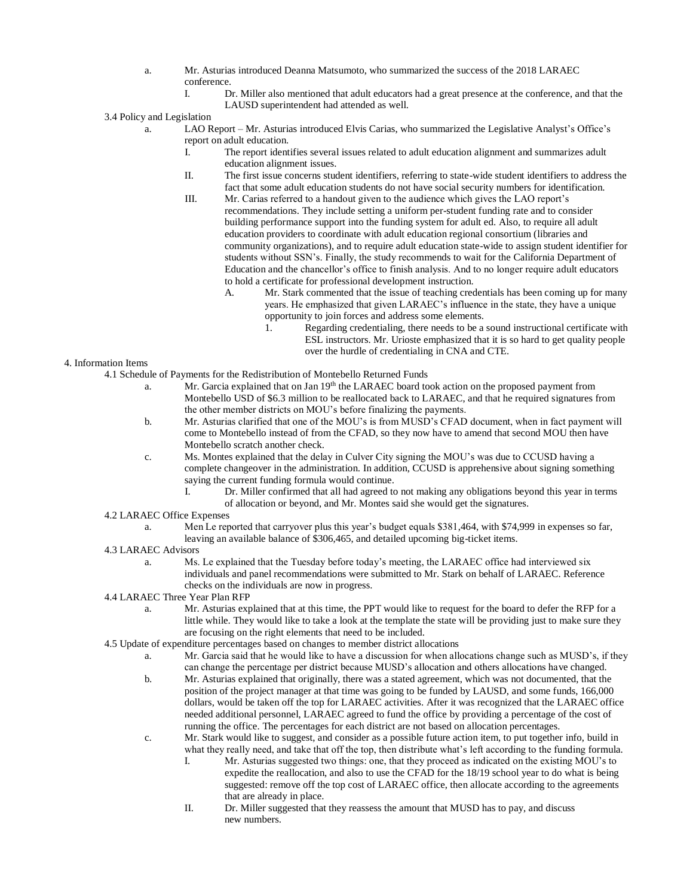- a. Mr. Asturias introduced Deanna Matsumoto, who summarized the success of the 2018 LARAEC conference.
	- I. Dr. Miller also mentioned that adult educators had a great presence at the conference, and that the LAUSD superintendent had attended as well.
- 3.4 Policy and Legislation
	- a. LAO Report Mr. Asturias introduced Elvis Carias, who summarized the Legislative Analyst's Office's report on adult education.
		- I. The report identifies several issues related to adult education alignment and summarizes adult education alignment issues.
		- II. The first issue concerns student identifiers, referring to state-wide student identifiers to address the fact that some adult education students do not have social security numbers for identification.
		- III. Mr. Carias referred to a handout given to the audience which gives the LAO report's recommendations. They include setting a uniform per-student funding rate and to consider building performance support into the funding system for adult ed. Also, to require all adult education providers to coordinate with adult education regional consortium (libraries and community organizations), and to require adult education state-wide to assign student identifier for students without SSN's. Finally, the study recommends to wait for the California Department of Education and the chancellor's office to finish analysis. And to no longer require adult educators to hold a certificate for professional development instruction.
			- A. Mr. Stark commented that the issue of teaching credentials has been coming up for many years. He emphasized that given LARAEC's influence in the state, they have a unique opportunity to join forces and address some elements.
				- 1. Regarding credentialing, there needs to be a sound instructional certificate with ESL instructors. Mr. Urioste emphasized that it is so hard to get quality people over the hurdle of credentialing in CNA and CTE.
- 4. Information Items
	- 4.1 Schedule of Payments for the Redistribution of Montebello Returned Funds
		- a. Mr. Garcia explained that on Jan 19<sup>th</sup> the LARAEC board took action on the proposed payment from Montebello USD of \$6.3 million to be reallocated back to LARAEC, and that he required signatures from the other member districts on MOU's before finalizing the payments.
		- b. Mr. Asturias clarified that one of the MOU's is from MUSD's CFAD document, when in fact payment will come to Montebello instead of from the CFAD, so they now have to amend that second MOU then have Montebello scratch another check.
		- c. Ms. Montes explained that the delay in Culver City signing the MOU's was due to CCUSD having a complete changeover in the administration. In addition, CCUSD is apprehensive about signing something saying the current funding formula would continue.<br>I Dr. Miller confirmed that all had agreed to
			- Dr. Miller confirmed that all had agreed to not making any obligations beyond this year in terms of allocation or beyond, and Mr. Montes said she would get the signatures.

### 4.2 LARAEC Office Expenses

a. Men Le reported that carryover plus this year's budget equals \$381,464, with \$74,999 in expenses so far, leaving an available balance of \$306,465, and detailed upcoming big-ticket items.

### 4.3 LARAEC Advisors

- a. Ms. Le explained that the Tuesday before today's meeting, the LARAEC office had interviewed six individuals and panel recommendations were submitted to Mr. Stark on behalf of LARAEC. Reference checks on the individuals are now in progress.
- 4.4 LARAEC Three Year Plan RFP
	- a. Mr. Asturias explained that at this time, the PPT would like to request for the board to defer the RFP for a little while. They would like to take a look at the template the state will be providing just to make sure they are focusing on the right elements that need to be included.
- 4.5 Update of expenditure percentages based on changes to member district allocations
	- a. Mr. Garcia said that he would like to have a discussion for when allocations change such as MUSD's, if they can change the percentage per district because MUSD's allocation and others allocations have changed.
	- b. Mr. Asturias explained that originally, there was a stated agreement, which was not documented, that the position of the project manager at that time was going to be funded by LAUSD, and some funds, 166,000 dollars, would be taken off the top for LARAEC activities. After it was recognized that the LARAEC office needed additional personnel, LARAEC agreed to fund the office by providing a percentage of the cost of running the office. The percentages for each district are not based on allocation percentages.
	- c. Mr. Stark would like to suggest, and consider as a possible future action item, to put together info, build in what they really need, and take that off the top, then distribute what's left according to the funding formula.
		- I. Mr. Asturias suggested two things: one, that they proceed as indicated on the existing MOU's to expedite the reallocation, and also to use the CFAD for the 18/19 school year to do what is being suggested: remove off the top cost of LARAEC office, then allocate according to the agreements that are already in place.
		- II. Dr. Miller suggested that they reassess the amount that MUSD has to pay, and discuss new numbers.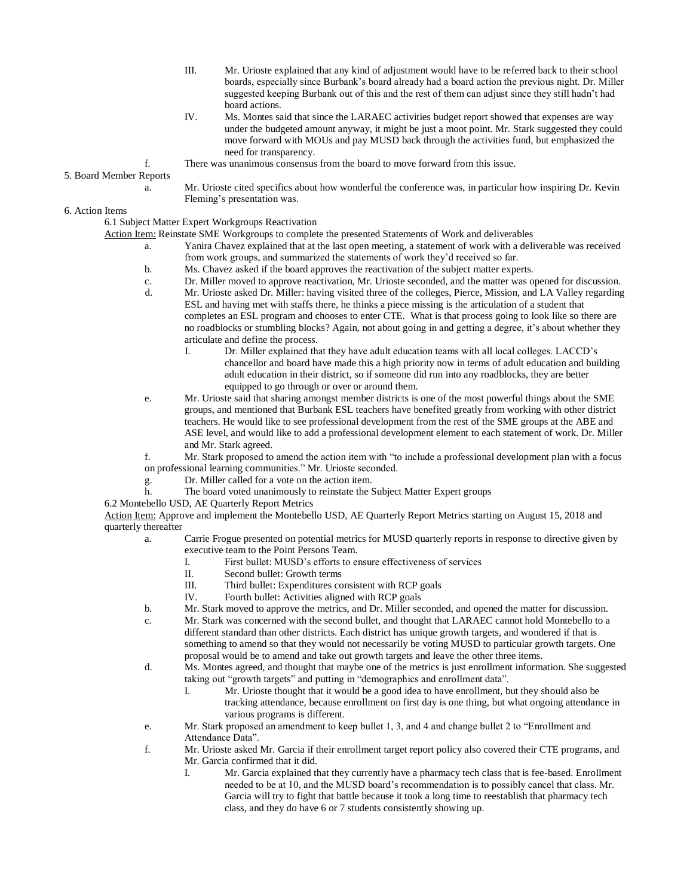- III. Mr. Urioste explained that any kind of adjustment would have to be referred back to their school boards, especially since Burbank's board already had a board action the previous night. Dr. Miller suggested keeping Burbank out of this and the rest of them can adjust since they still hadn't had board actions.
- IV. Ms. Montes said that since the LARAEC activities budget report showed that expenses are way under the budgeted amount anyway, it might be just a moot point. Mr. Stark suggested they could move forward with MOUs and pay MUSD back through the activities fund, but emphasized the need for transparency.
- f. There was unanimous consensus from the board to move forward from this issue.

5. Board Member Reports

a. Mr. Urioste cited specifics about how wonderful the conference was, in particular how inspiring Dr. Kevin Fleming's presentation was.

6. Action Items

6.1 Subject Matter Expert Workgroups Reactivation

Action Item: Reinstate SME Workgroups to complete the presented Statements of Work and deliverables

- a. Yanira Chavez explained that at the last open meeting, a statement of work with a deliverable was received from work groups, and summarized the statements of work they'd received so far.
- b. Ms. Chavez asked if the board approves the reactivation of the subject matter experts.
- c. Dr. Miller moved to approve reactivation, Mr. Urioste seconded, and the matter was opened for discussion.
- d. Mr. Urioste asked Dr. Miller: having visited three of the colleges, Pierce, Mission, and LA Valley regarding ESL and having met with staffs there, he thinks a piece missing is the articulation of a student that completes an ESL program and chooses to enter CTE. What is that process going to look like so there are no roadblocks or stumbling blocks? Again, not about going in and getting a degree, it's about whether they articulate and define the process.
	- I. Dr. Miller explained that they have adult education teams with all local colleges. LACCD's chancellor and board have made this a high priority now in terms of adult education and building adult education in their district, so if someone did run into any roadblocks, they are better equipped to go through or over or around them.
- e. Mr. Urioste said that sharing amongst member districts is one of the most powerful things about the SME groups, and mentioned that Burbank ESL teachers have benefited greatly from working with other district teachers. He would like to see professional development from the rest of the SME groups at the ABE and ASE level, and would like to add a professional development element to each statement of work. Dr. Miller and Mr. Stark agreed.

f. Mr. Stark proposed to amend the action item with "to include a professional development plan with a focus on professional learning communities." Mr. Urioste seconded.

- g. Dr. Miller called for a vote on the action item.
- h. The board voted unanimously to reinstate the Subject Matter Expert groups

6.2 Montebello USD, AE Quarterly Report Metrics

Action Item: Approve and implement the Montebello USD, AE Quarterly Report Metrics starting on August 15, 2018 and quarterly thereafter

- a. Carrie Frogue presented on potential metrics for MUSD quarterly reports in response to directive given by executive team to the Point Persons Team.
	- I. First bullet: MUSD's efforts to ensure effectiveness of services
	- II. Second bullet: Growth terms
	- III. Third bullet: Expenditures consistent with RCP goals
	- IV. Fourth bullet: Activities aligned with RCP goals
- b. Mr. Stark moved to approve the metrics, and Dr. Miller seconded, and opened the matter for discussion.
- c. Mr. Stark was concerned with the second bullet, and thought that LARAEC cannot hold Montebello to a different standard than other districts. Each district has unique growth targets, and wondered if that is something to amend so that they would not necessarily be voting MUSD to particular growth targets. One proposal would be to amend and take out growth targets and leave the other three items.
- d. Ms. Montes agreed, and thought that maybe one of the metrics is just enrollment information. She suggested taking out "growth targets" and putting in "demographics and enrollment data".
	- I. Mr. Urioste thought that it would be a good idea to have enrollment, but they should also be tracking attendance, because enrollment on first day is one thing, but what ongoing attendance in various programs is different.
- e. Mr. Stark proposed an amendment to keep bullet 1, 3, and 4 and change bullet 2 to "Enrollment and Attendance Data".
- f. Mr. Urioste asked Mr. Garcia if their enrollment target report policy also covered their CTE programs, and Mr. Garcia confirmed that it did.
	- I. Mr. Garcia explained that they currently have a pharmacy tech class that is fee-based. Enrollment needed to be at 10, and the MUSD board's recommendation is to possibly cancel that class. Mr. Garcia will try to fight that battle because it took a long time to reestablish that pharmacy tech class, and they do have 6 or 7 students consistently showing up.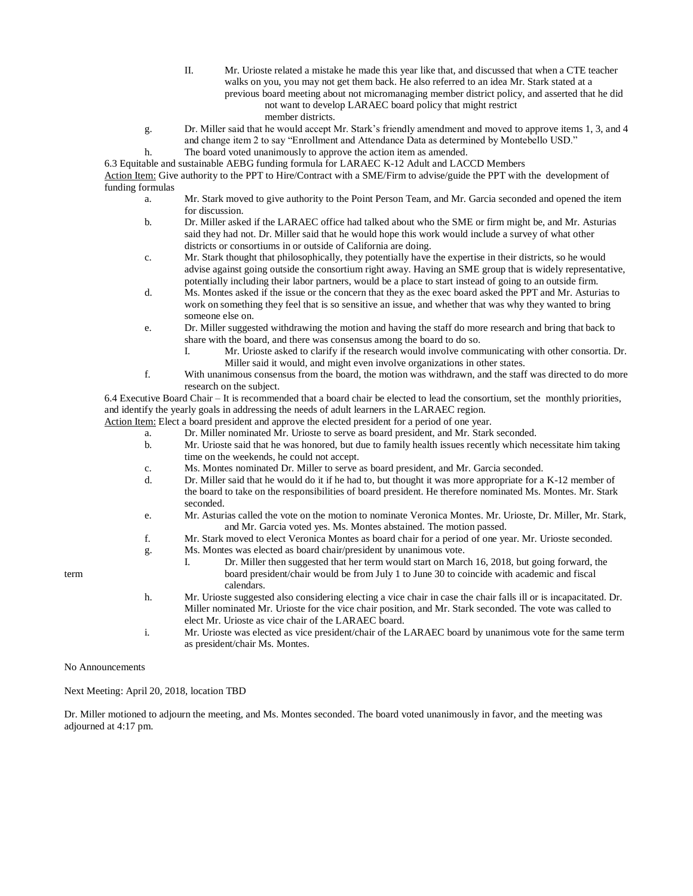- II. Mr. Urioste related a mistake he made this year like that, and discussed that when a CTE teacher walks on you, you may not get them back. He also referred to an idea Mr. Stark stated at a
	- previous board meeting about not micromanaging member district policy, and asserted that he did not want to develop LARAEC board policy that might restrict
		- member districts.
- g. Dr. Miller said that he would accept Mr. Stark's friendly amendment and moved to approve items 1, 3, and 4 and change item 2 to say "Enrollment and Attendance Data as determined by Montebello USD."
- h. The board voted unanimously to approve the action item as amended.

6.3 Equitable and sustainable AEBG funding formula for LARAEC K-12 Adult and LACCD Members Action Item: Give authority to the PPT to Hire/Contract with a SME/Firm to advise/guide the PPT with the development of funding formulas

- a. Mr. Stark moved to give authority to the Point Person Team, and Mr. Garcia seconded and opened the item for discussion.
- b. Dr. Miller asked if the LARAEC office had talked about who the SME or firm might be, and Mr. Asturias said they had not. Dr. Miller said that he would hope this work would include a survey of what other districts or consortiums in or outside of California are doing.
- c. Mr. Stark thought that philosophically, they potentially have the expertise in their districts, so he would advise against going outside the consortium right away. Having an SME group that is widely representative, potentially including their labor partners, would be a place to start instead of going to an outside firm.
- d. Ms. Montes asked if the issue or the concern that they as the exec board asked the PPT and Mr. Asturias to work on something they feel that is so sensitive an issue, and whether that was why they wanted to bring someone else on.
- e. Dr. Miller suggested withdrawing the motion and having the staff do more research and bring that back to share with the board, and there was consensus among the board to do so.
	- I. Mr. Urioste asked to clarify if the research would involve communicating with other consortia. Dr. Miller said it would, and might even involve organizations in other states.
- f. With unanimous consensus from the board, the motion was withdrawn, and the staff was directed to do more research on the subject.

6.4 Executive Board Chair – It is recommended that a board chair be elected to lead the consortium, set the monthly priorities, and identify the yearly goals in addressing the needs of adult learners in the LARAEC region.

Action Item: Elect a board president and approve the elected president for a period of one year.

- a. Dr. Miller nominated Mr. Urioste to serve as board president, and Mr. Stark seconded.
- b. Mr. Urioste said that he was honored, but due to family health issues recently which necessitate him taking time on the weekends, he could not accept.
- c. Ms. Montes nominated Dr. Miller to serve as board president, and Mr. Garcia seconded.
- d. Dr. Miller said that he would do it if he had to, but thought it was more appropriate for a K-12 member of the board to take on the responsibilities of board president. He therefore nominated Ms. Montes. Mr. Stark seconded.
- e. Mr. Asturias called the vote on the motion to nominate Veronica Montes. Mr. Urioste, Dr. Miller, Mr. Stark, and Mr. Garcia voted yes. Ms. Montes abstained. The motion passed.
- f. Mr. Stark moved to elect Veronica Montes as board chair for a period of one year. Mr. Urioste seconded.
- g. Ms. Montes was elected as board chair/president by unanimous vote.
- I. Dr. Miller then suggested that her term would start on March 16, 2018, but going forward, the term board president/chair would be from July 1 to June 30 to coincide with academic and fiscal calendars.
	- h. Mr. Urioste suggested also considering electing a vice chair in case the chair falls ill or is incapacitated. Dr. Miller nominated Mr. Urioste for the vice chair position, and Mr. Stark seconded. The vote was called to elect Mr. Urioste as vice chair of the LARAEC board.
	- i. Mr. Urioste was elected as vice president/chair of the LARAEC board by unanimous vote for the same term as president/chair Ms. Montes.

No Announcements

Next Meeting: April 20, 2018, location TBD

Dr. Miller motioned to adjourn the meeting, and Ms. Montes seconded. The board voted unanimously in favor, and the meeting was adjourned at 4:17 pm.